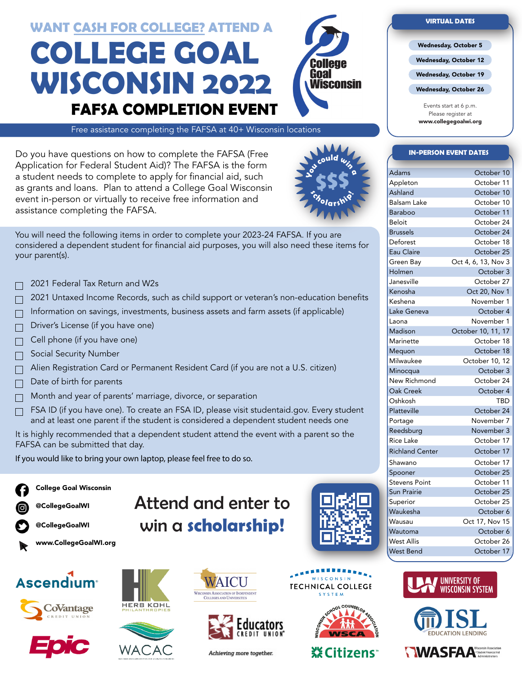# **COLLEGE GOAL WISCONSIN 2022 FAFSA COMPLETION EVENT WANT CASH FOR COLLEGE? ATTEND A**



Free assistance completing the FAFSA at 40+ Wisconsin locations

Do you have questions on how to complete the FAFSA (Free Application for Federal Student Aid)? The FAFSA is the form a student needs to complete to apply for financial aid, such as grants and loans. Plan to attend a College Goal Wisconsin event in-person or virtually to receive free information and assistance completing the FAFSA.



You will need the following items in order to complete your 2023-24 FAFSA. If you are considered a dependent student for financial aid purposes, you will also need these items for your parent(s).

- 2021 Federal Tax Return and W2s
- 2021 Untaxed Income Records, such as child support or veteran's non-education benefits
- Information on savings, investments, business assets and farm assets (if applicable)  $\Box$
- Driver's License (if you have one)  $\Box$
- Cell phone (if you have one)
- Social Security Number
- Alien Registration Card or Permanent Resident Card (if you are not a U.S. citizen)  $\Box$
- Date of birth for parents  $\Box$
- Month and year of parents' marriage, divorce, or separation  $\Box$
- FSA ID (if you have one). To create an FSA ID, please visit studentaid.gov. Every student  $\Box$ and at least one parent if the student is considered a dependent student needs one

It is highly recommended that a dependent student attend the event with a parent so the FAFSA can be submitted that day.

If you would like to bring your own laptop, please feel free to do so.



College Goal Wisconsin

- @CollegeGoalWI
- @CollegeGoalWI















Attend and enter to

win a **scholarship!**



Achieving more together.



WISCONSIN

**TECHNICAL COLLEGE** 

**SYSTEM** 

**XECitizens** 









- Wednesday, October 5
- Wednesday, October 12
- Wednesday, October 19

Wednesday, October 26

Events start at 6 p.m. Please register at www.collegegoalwi.org

#### **IN-PERSON EVENT DATES**

| Adams                  | October 10          |
|------------------------|---------------------|
| Appleton               | October 11          |
| Ashland                | October 10          |
| <b>Balsam Lake</b>     | October 10          |
| Baraboo                | October 11          |
| Beloit                 | October 24          |
| <b>Brussels</b>        | October 24          |
| Deforest               | October 18          |
| Eau Claire             | October 25          |
| Green Bay              | Oct 4, 6, 13, Nov 3 |
| Holmen                 | October 3           |
| Janesville             | October 27          |
| Kenosha                | Oct 20, Nov 1       |
| Keshena                | November 1          |
| Lake Geneva            | October 4           |
| Laona                  | November 1          |
| Madison                | October 10, 11, 17  |
| Marinette              | October 18          |
| Mequon                 | October 18          |
| Milwaukee              | October 10, 12      |
| Minocqua               | October 3           |
| New Richmond           | October 24          |
| Oak Creek              | October 4           |
| Oshkosh                | TBD                 |
| Platteville            | October 24          |
| Portage                | November 7          |
| Reedsburg              | November 3          |
| <b>Rice Lake</b>       | October 17          |
| <b>Richland Center</b> | October 17          |
| Shawano                | October 17          |
| Spooner                | October 25          |
| <b>Stevens Point</b>   | October 11          |
| <b>Sun Prairie</b>     | October 25          |
| Superior               | October 25          |
| Waukesha               | October 6           |
| Wausau                 | Oct 17, Nov 15      |